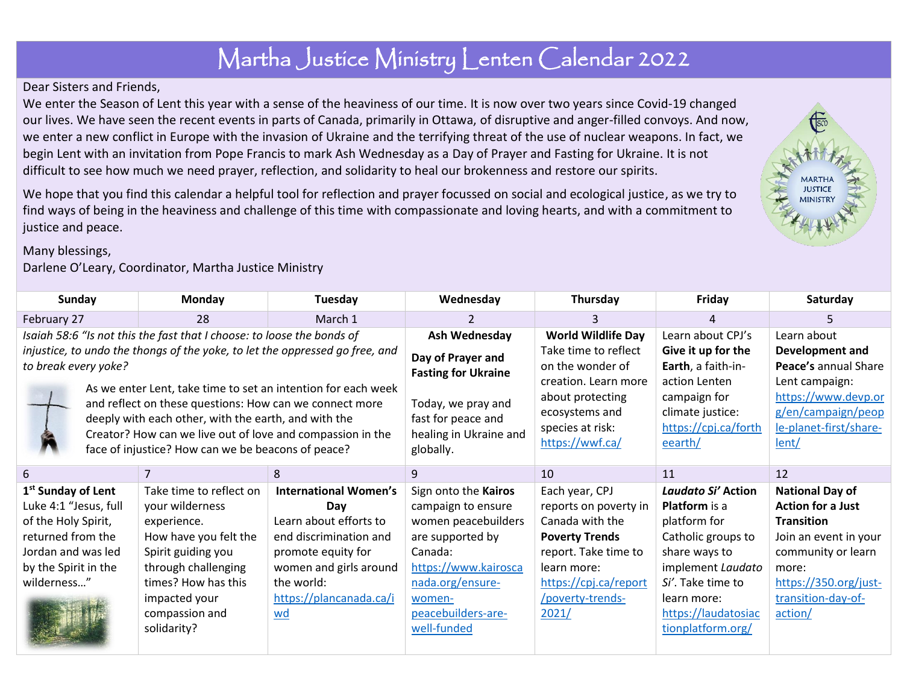## Martha Justice Ministry Lenten Calendar 2022

## Dear Sisters and Friends,

We enter the Season of Lent this year with a sense of the heaviness of our time. It is now over two years since Covid-19 changed our lives. We have seen the recent events in parts of Canada, primarily in Ottawa, of disruptive and anger-filled convoys. And now, we enter a new conflict in Europe with the invasion of Ukraine and the terrifying threat of the use of nuclear weapons. In fact, we begin Lent with an invitation from Pope Francis to mark Ash Wednesday as a Day of Prayer and Fasting for Ukraine. It is not difficult to see how much we need prayer, reflection, and solidarity to heal our brokenness and restore our spirits.

We hope that you find this calendar a helpful tool for reflection and prayer focussed on social and ecological justice, as we try to find ways of being in the heaviness and challenge of this time with compassionate and loving hearts, and with a commitment to justice and peace.

## Many blessings,

## Darlene O'Leary, Coordinator, Martha Justice Ministry

| Sunday                                                                                                                                                                           | <b>Monday</b>           | Tuesday                      | Wednesday                                                                       | Thursday                  | Friday                 | Saturday                 |
|----------------------------------------------------------------------------------------------------------------------------------------------------------------------------------|-------------------------|------------------------------|---------------------------------------------------------------------------------|---------------------------|------------------------|--------------------------|
| February 27                                                                                                                                                                      | 28                      | March 1                      |                                                                                 | 3                         |                        | ь                        |
| Isaiah 58:6 "Is not this the fast that I choose: to loose the bonds of                                                                                                           |                         |                              | Ash Wednesday                                                                   | <b>World Wildlife Day</b> | Learn about CPJ's      | Learn about              |
| injustice, to undo the thongs of the yoke, to let the oppressed go free, and                                                                                                     |                         |                              | Day of Prayer and<br><b>Fasting for Ukraine</b>                                 | Take time to reflect      | Give it up for the     | <b>Development and</b>   |
| to break every yoke?                                                                                                                                                             |                         | on the wonder of             |                                                                                 | Earth, a faith-in-        | Peace's annual Share   |                          |
| As we enter Lent, take time to set an intention for each week<br>and reflect on these questions: How can we connect more<br>deeply with each other, with the earth, and with the |                         |                              |                                                                                 | creation. Learn more      | action Lenten          | Lent campaign:           |
|                                                                                                                                                                                  |                         |                              | Today, we pray and<br>fast for peace and<br>healing in Ukraine and<br>globally. | about protecting          | campaign for           | https://www.devp.or      |
|                                                                                                                                                                                  |                         |                              |                                                                                 | ecosystems and            | climate justice:       | g/en/campaign/peop       |
| Creator? How can we live out of love and compassion in the                                                                                                                       |                         | species at risk:             |                                                                                 | https://cpj.ca/forth      | le-planet-first/share- |                          |
| face of injustice? How can we be beacons of peace?                                                                                                                               |                         |                              |                                                                                 | https://wwf.ca/           | eearth/                | lent/                    |
| 6                                                                                                                                                                                | 7                       | 8                            | 9                                                                               | 10                        | 11                     | 12                       |
|                                                                                                                                                                                  |                         |                              |                                                                                 |                           |                        |                          |
| 1 <sup>st</sup> Sunday of Lent                                                                                                                                                   | Take time to reflect on | <b>International Women's</b> | Sign onto the Kairos                                                            | Each year, CPJ            | Laudato Si' Action     | <b>National Day of</b>   |
| Luke 4:1 "Jesus, full                                                                                                                                                            | your wilderness         | Day                          | campaign to ensure                                                              | reports on poverty in     | <b>Platform</b> is a   | <b>Action for a Just</b> |
| of the Holy Spirit,                                                                                                                                                              | experience.             | Learn about efforts to       | women peacebuilders                                                             | Canada with the           | platform for           | <b>Transition</b>        |
| returned from the                                                                                                                                                                | How have you felt the   | end discrimination and       | are supported by                                                                | <b>Poverty Trends</b>     | Catholic groups to     | Join an event in your    |
| Jordan and was led                                                                                                                                                               | Spirit guiding you      | promote equity for           | Canada:                                                                         | report. Take time to      | share ways to          | community or learn       |
| by the Spirit in the                                                                                                                                                             | through challenging     | women and girls around       | https://www.kairosca                                                            | learn more:               | implement Laudato      | more:                    |
| wilderness"                                                                                                                                                                      | times? How has this     | the world:                   | nada.org/ensure-                                                                | https://cpj.ca/report     | Si'. Take time to      | https://350.org/just-    |
|                                                                                                                                                                                  | impacted your           | https://plancanada.ca/i      | women-                                                                          | /poverty-trends-          | learn more:            | transition-day-of-       |
|                                                                                                                                                                                  | compassion and          | <u>wd</u>                    | peacebuilders-are-                                                              | 2021/                     | https://laudatosiac    | action/                  |
|                                                                                                                                                                                  | solidarity?             |                              | well-funded                                                                     |                           | tionplatform.org/      |                          |
|                                                                                                                                                                                  |                         |                              |                                                                                 |                           |                        |                          |

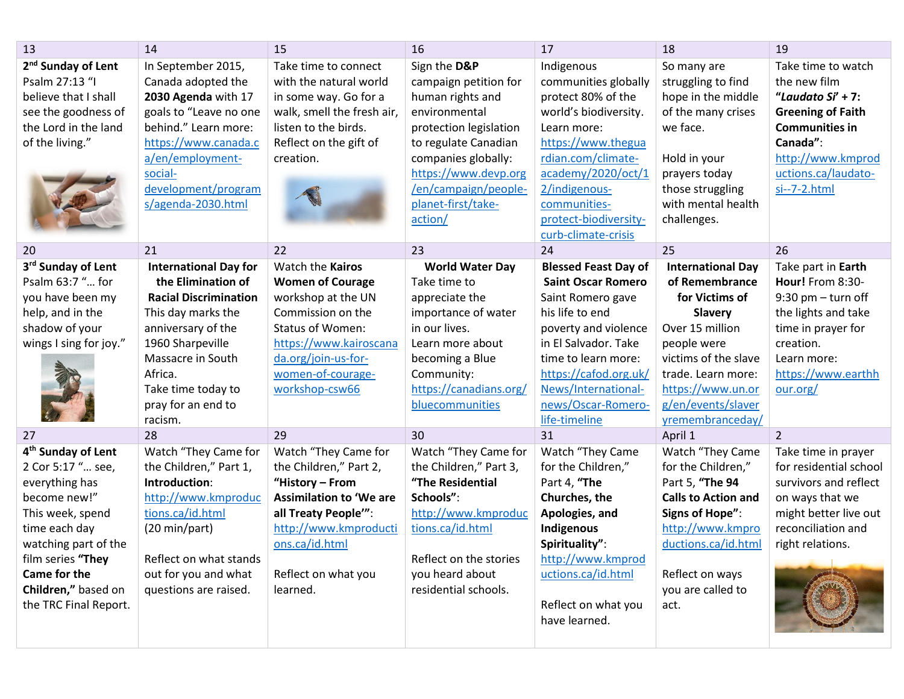| 13                             | 14                           | 15                             | 16                     | 17                          | 18                         | 19                       |
|--------------------------------|------------------------------|--------------------------------|------------------------|-----------------------------|----------------------------|--------------------------|
| 2 <sup>nd</sup> Sunday of Lent | In September 2015,           | Take time to connect           | Sign the D&P           | Indigenous                  | So many are                | Take time to watch       |
| Psalm 27:13 "I                 | Canada adopted the           | with the natural world         | campaign petition for  | communities globally        | struggling to find         | the new film             |
| believe that I shall           | 2030 Agenda with 17          | in some way. Go for a          | human rights and       | protect 80% of the          | hope in the middle         | "Laudato $Si' + 7$ :     |
| see the goodness of            | goals to "Leave no one       | walk, smell the fresh air,     | environmental          | world's biodiversity.       | of the many crises         | <b>Greening of Faith</b> |
| the Lord in the land           | behind." Learn more:         | listen to the birds.           | protection legislation | Learn more:                 | we face.                   | <b>Communities in</b>    |
| of the living."                | https://www.canada.c         | Reflect on the gift of         | to regulate Canadian   | https://www.thegua          |                            | Canada":                 |
|                                | a/en/employment-             | creation.                      | companies globally:    | rdian.com/climate-          | Hold in your               | http://www.kmprod        |
|                                | social-                      |                                | https://www.devp.org   | academy/2020/oct/1          | prayers today              | uctions.ca/laudato-      |
|                                | development/program          |                                | /en/campaign/people-   | 2/indigenous-               | those struggling           | $si$ --7-2.html          |
|                                | s/agenda-2030.html           |                                | planet-first/take-     | communities-                | with mental health         |                          |
|                                |                              |                                | action/                | protect-biodiversity-       | challenges.                |                          |
|                                |                              |                                |                        | curb-climate-crisis         |                            |                          |
| 20                             | 21                           | 22                             | 23                     | 24                          | 25                         | 26                       |
| 3rd Sunday of Lent             | <b>International Day for</b> | Watch the Kairos               | <b>World Water Day</b> | <b>Blessed Feast Day of</b> | <b>International Day</b>   | Take part in Earth       |
| Psalm 63:7 " for               | the Elimination of           | <b>Women of Courage</b>        | Take time to           | <b>Saint Oscar Romero</b>   | of Remembrance             | Hour! From 8:30-         |
| you have been my               | <b>Racial Discrimination</b> | workshop at the UN             | appreciate the         | Saint Romero gave           | for Victims of             | $9:30$ pm $-$ turn off   |
| help, and in the               | This day marks the           | Commission on the              | importance of water    | his life to end             | <b>Slavery</b>             | the lights and take      |
| shadow of your                 | anniversary of the           | <b>Status of Women:</b>        | in our lives.          | poverty and violence        | Over 15 million            | time in prayer for       |
| wings I sing for joy."         | 1960 Sharpeville             | https://www.kairoscana         | Learn more about       | in El Salvador. Take        | people were                | creation.                |
|                                | Massacre in South            | da.org/join-us-for-            | becoming a Blue        | time to learn more:         | victims of the slave       | Learn more:              |
|                                | Africa.                      | women-of-courage-              | Community:             | https://cafod.org.uk/       | trade. Learn more:         | https://www.earthh       |
|                                | Take time today to           | workshop-csw66                 | https://canadians.org/ | News/International-         | https://www.un.or          | our.org/                 |
|                                | pray for an end to           |                                | bluecommunities        | news/Oscar-Romero-          | g/en/events/slaver         |                          |
|                                | racism.                      |                                |                        | life-timeline               | yremembranceday/           |                          |
| 27                             | 28                           | 29                             | 30                     | 31                          | April 1                    | $\overline{2}$           |
| 4 <sup>th</sup> Sunday of Lent | Watch "They Came for         | Watch "They Came for           | Watch "They Came for   | Watch "They Came            | Watch "They Came           | Take time in prayer      |
| 2 Cor 5:17 " see,              | the Children," Part 1,       | the Children," Part 2,         | the Children," Part 3, | for the Children,"          | for the Children,"         | for residential school   |
| everything has                 | Introduction:                | "History - From                | "The Residential       | Part 4, "The                | Part 5, "The 94            | survivors and reflect    |
| become new!"                   | http://www.kmproduc          | <b>Assimilation to 'We are</b> | Schools":              | Churches, the               | <b>Calls to Action and</b> | on ways that we          |
| This week, spend               | tions.ca/id.html             | all Treaty People"":           | http://www.kmproduc    | Apologies, and              | Signs of Hope":            | might better live out    |
| time each day                  | (20 min/part)                | http://www.kmproducti          | tions.ca/id.html       | Indigenous                  | http://www.kmpro           | reconciliation and       |
| watching part of the           |                              | ons.ca/id.html                 |                        | Spirituality":              | ductions.ca/id.html        | right relations.         |
| film series "They              | Reflect on what stands       |                                | Reflect on the stories | http://www.kmprod           |                            |                          |
| Came for the                   | out for you and what         | Reflect on what you            | you heard about        | uctions.ca/id.html          | Reflect on ways            |                          |
| Children," based on            | questions are raised.        | learned.                       | residential schools.   |                             | you are called to          |                          |
| the TRC Final Report.          |                              |                                |                        | Reflect on what you         | act.                       |                          |
|                                |                              |                                |                        | have learned.               |                            |                          |
|                                |                              |                                |                        |                             |                            |                          |